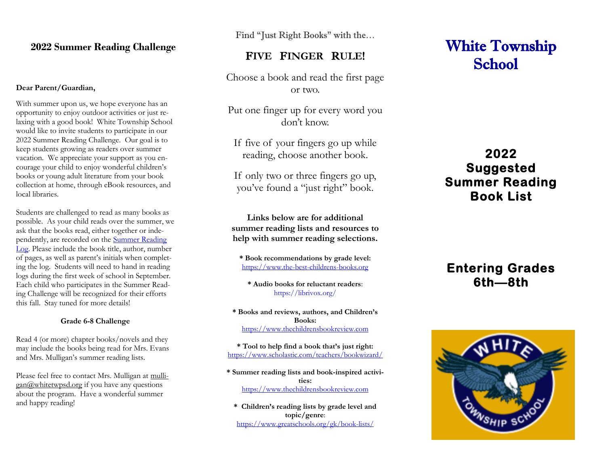#### **2022 Summer Reading Challenge**

#### **Dear Parent/Guardian,**

With summer upon us, we hope everyone has an opportunity to enjoy outdoor activities or just relaxing with a good book! White Township School would like to invite students to participate in our 2022 Summer Reading Challenge. Our goal is to keep students growing as readers over summer vacation. We appreciate your support as you encourage your child to enjoy wonderful children's books or young adult literature from your book collection at home, through eBook resources, and local libraries.

Students are challenged to read as many books as possible. As your child reads over the summer, we ask that the books read, either together or independently, are recorded on the [Summer Reading](http://www.whitetwpsd.org/wtsd/General%20Information/Summer%20Reading/Summer%20Reading%20Log.pdf?1592317193)  [Log.](http://www.whitetwpsd.org/wtsd/General%20Information/Summer%20Reading/Summer%20Reading%20Log.pdf?1592317193) Please include the book title, author, number of pages, as well as parent's initials when completing the log. Students will need to hand in reading logs during the first week of school in September. Each child who participates in the Summer Reading Challenge will be recognized for their efforts this fall. Stay tuned for more details!

#### **Grade 6-8 Challenge**

Read 4 (or more) chapter books/novels and they may include the books being read for Mrs. Evans and Mrs. Mulligan's summer reading lists.

Please feel free to contact Mrs. Mulligan at mulli $gan@whitetwpsd.org$  if you have any questions about the program. Have a wonderful summer and happy reading!

Find "Just Right Books" with the…

#### F**IVE** F**INGER** R**ULE**!

Choose a book and read the first page or two.

Put one finger up for every word you don't know.

If five of your fingers go up while reading, choose another book.

If only two or three fingers go up, you've found a "just right" book.

**Links below are for additional summer reading lists and resources to help with summer reading selections.**

**\* Book recommendations by grade level:** [https://www.the-best-childrens-books.org](https://www.the-best-childrens-books.org/)

**\* Audio books for reluctant readers**: <https://librivox.org/>

**\* Books and reviews, authors, and Children's Books:** [https://www.thechildrensbookreview.com](https://www.thechildrensbookreview.com/)

**\* Tool to help find a book that's just right:** <https://www.scholastic.com/teachers/bookwizard/>

**\* Summer reading lists and book-inspired activities:** [https://www.thechildrensbookreview.com](https://www.thechildrensbookreview.com/)

**\* Children's reading lists by grade level and topic/genre**: <https://www.greatschools.org/gk/book-lists/>

# White Township **School**

# **2022 Suggested Summer Reading Book List**

# **Entering Grades 6th—8th**